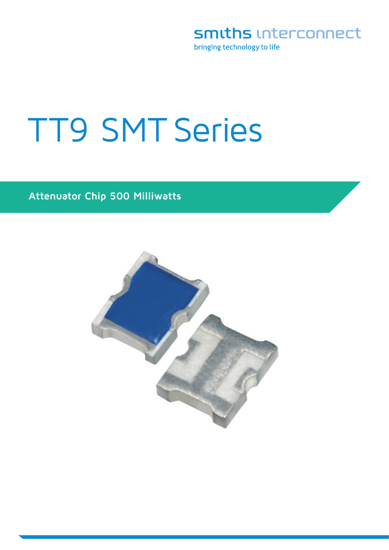smiths interconnect

bringing technology to life

# TT9 SMT Series

### **Attenuator Chip 500 Milliwatts**

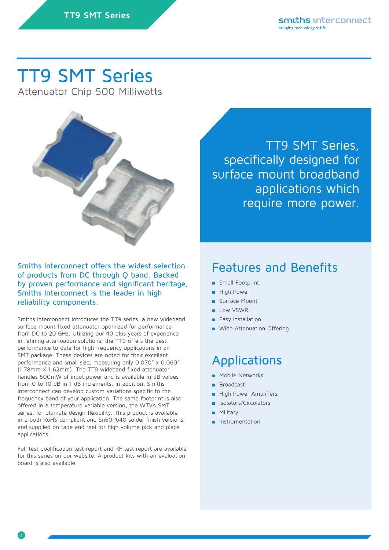# TT9 SMT Series

Attenuator Chip 500 Milliwatts



Smiths Interconnect offers the widest selection of products from DC through Q band. Backed by proven performance and significant heritage, Smiths Interconnect is the leader in high reliability components.

Smiths Interconnect introduces the TT9 series, a new wideband surface mount fixed attenuator optimized for performance from DC to 20 GHz. Utilizing our 40 plus years of experience in refining attenuation solutions, the TT9 offers the best performance to date for high frequency applications in an SMT package. These devices are noted for their excellent performance and small size, measuring only 0.070" x 0.060" (1.78mm X 1.62mm). The TT9 wideband fixed attenuator handles 500mW of input power and is available in dB values from 0 to 10 dB in 1 dB increments. In addition, Smiths Interconnect can develop custom variations specific to the frequency band of your application. The same footprint is also offered in a temperature variable version, the WTVA SMT series, for ultimate design flexibility. This product is available in a both RoHS compliant and Sn60Pb40 solder finish versions and supplied on tape and reel for high volume pick and place applications.

Full test qualification test report and RF test report are available for this series on our website. A product kits with an evaluation board is also available.

TT9 SMT Series, specifically designed for surface mount broadband applications which require more power.

### Features and Benefits

- Small Footprint
- High Power
- Surface Mount
- Low VSWR
- Fasy Installation
- Wide Attenuation Offering

### Applications

- Mobile Networks
- **Broadcast**
- **High Power Amplifiers**
- Isolators/Circulators
- **Military**
- Instrumentation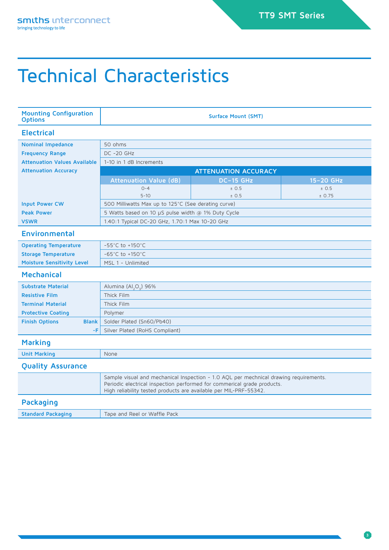# Technical Characteristics

| <b>Mounting Configuration</b><br><b>Options</b> | <b>Surface Mount (SMT)</b>                                                                                                                                                                                                            |                  |           |  |  |  |  |
|-------------------------------------------------|---------------------------------------------------------------------------------------------------------------------------------------------------------------------------------------------------------------------------------------|------------------|-----------|--|--|--|--|
| <b>Electrical</b>                               |                                                                                                                                                                                                                                       |                  |           |  |  |  |  |
| <b>Nominal Impedance</b>                        | 50 ohms                                                                                                                                                                                                                               |                  |           |  |  |  |  |
| <b>Frequency Range</b>                          | $DC -20 GHz$                                                                                                                                                                                                                          |                  |           |  |  |  |  |
| <b>Attenuation Values Available</b>             | 1-10 in 1 dB Increments                                                                                                                                                                                                               |                  |           |  |  |  |  |
| <b>Attenuation Accuracy</b>                     | <b>ATTENUATION ACCURACY</b>                                                                                                                                                                                                           |                  |           |  |  |  |  |
|                                                 | <b>Attenuation Value (dB)</b>                                                                                                                                                                                                         | <b>DC-15 GHz</b> | 15-20 GHz |  |  |  |  |
|                                                 | $O - 4$                                                                                                                                                                                                                               | ± 0.5            | ± 0.5     |  |  |  |  |
|                                                 | $5 - 10$                                                                                                                                                                                                                              | ± 0.5            | ± 0.75    |  |  |  |  |
| <b>Input Power CW</b>                           | 500 Milliwatts Max up to 125°C (See derating curve)                                                                                                                                                                                   |                  |           |  |  |  |  |
| <b>Peak Power</b>                               | 5 Watts based on 10 µS pulse width @ 1% Duty Cycle                                                                                                                                                                                    |                  |           |  |  |  |  |
| <b>VSWR</b>                                     | 1.40:1 Typical DC-20 GHz, 1.70:1 Max 10-20 GHz                                                                                                                                                                                        |                  |           |  |  |  |  |
| <b>Environmental</b>                            |                                                                                                                                                                                                                                       |                  |           |  |  |  |  |
| <b>Operating Temperature</b>                    | $-55^{\circ}$ C to $+150^{\circ}$ C                                                                                                                                                                                                   |                  |           |  |  |  |  |
| <b>Storage Temperature</b>                      | $-65^{\circ}$ C to $+150^{\circ}$ C                                                                                                                                                                                                   |                  |           |  |  |  |  |
| <b>Moisture Sensitivity Level</b>               | MSL 1 - Unlimited                                                                                                                                                                                                                     |                  |           |  |  |  |  |
| <b>Mechanical</b>                               |                                                                                                                                                                                                                                       |                  |           |  |  |  |  |
| <b>Substrate Material</b>                       | Alumina (Al <sub>2</sub> O <sub>2</sub> ) 96%                                                                                                                                                                                         |                  |           |  |  |  |  |
| <b>Resistive Film</b>                           | Thick Film                                                                                                                                                                                                                            |                  |           |  |  |  |  |
| <b>Terminal Material</b>                        | Thick Film                                                                                                                                                                                                                            |                  |           |  |  |  |  |
| <b>Protective Coating</b>                       | Polymer                                                                                                                                                                                                                               |                  |           |  |  |  |  |
| <b>Finish Options</b><br><b>Blank</b>           | Solder Plated (Sn60/Pb40)                                                                                                                                                                                                             |                  |           |  |  |  |  |
| -F                                              | Silver Plated (RoHS Compliant)                                                                                                                                                                                                        |                  |           |  |  |  |  |
| <b>Marking</b>                                  |                                                                                                                                                                                                                                       |                  |           |  |  |  |  |
| <b>Unit Marking</b>                             | None                                                                                                                                                                                                                                  |                  |           |  |  |  |  |
| <b>Quality Assurance</b>                        |                                                                                                                                                                                                                                       |                  |           |  |  |  |  |
|                                                 | Sample visual and mechanical Inspection - 1.0 AQL per mechnical drawing requirements.<br>Periodic electrical inspection performed for commerical grade products.<br>High reliability tested products are available per MIL-PRF-55342. |                  |           |  |  |  |  |
| <b>Packaging</b>                                |                                                                                                                                                                                                                                       |                  |           |  |  |  |  |
| <b>Standard Packaging</b>                       | Tape and Reel or Waffle Pack                                                                                                                                                                                                          |                  |           |  |  |  |  |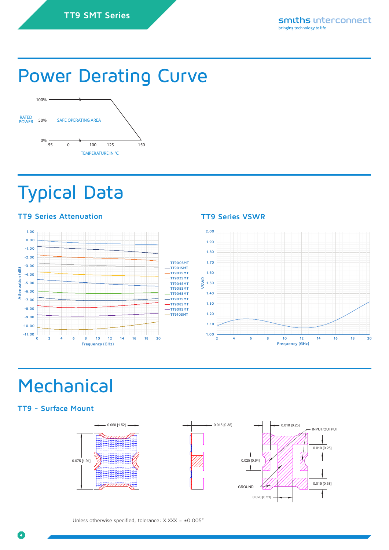# Power Derating Curve



# Typical Data

### **TT9 Series Attenuation TT9 Series VSWR**





# **Mechanical**

### **TT9 - Surface Mount**



Unless otherwise specified, tolerance:  $X.XXX = \pm 0.005$ "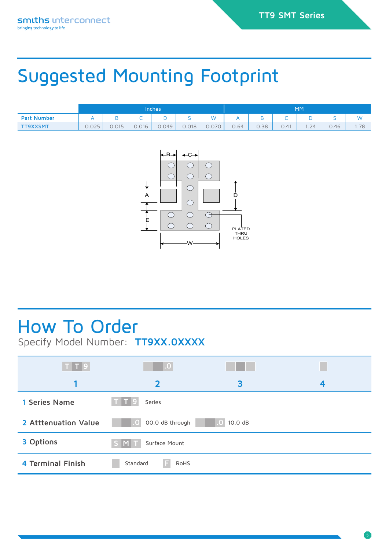# Suggested Mounting Footprint

|                    | Inches' |       |       | MM    |       |       |      |      |      |     |      |          |
|--------------------|---------|-------|-------|-------|-------|-------|------|------|------|-----|------|----------|
| <b>Part Number</b> |         |       |       |       |       | W     |      |      | ╌    |     |      | <b>A</b> |
| <b>TT9XXSMT</b>    | 0.025   | 0.015 | 0.016 | 0.049 | 0.018 | 0.070 | 0.64 | 0.38 | 0.41 | .24 | 0.46 | 1.78     |



## How To Order

Specify Model Number: **TT9XX.0XXXX**

| T   T   9            | $\overline{0}$             |   |   |  |  |  |
|----------------------|----------------------------|---|---|--|--|--|
|                      | $\overline{\mathbf{2}}$    | 3 | 4 |  |  |  |
| 1 Series Name        | Series                     |   |   |  |  |  |
| 2 Atttenuation Value | 00.0 dB through<br>10.0 dB |   |   |  |  |  |
| 3 Options            | Surface Mount<br>IMI.      |   |   |  |  |  |
| 4 Terminal Finish    | Standard<br>17<br>RoHS     |   |   |  |  |  |

**5**